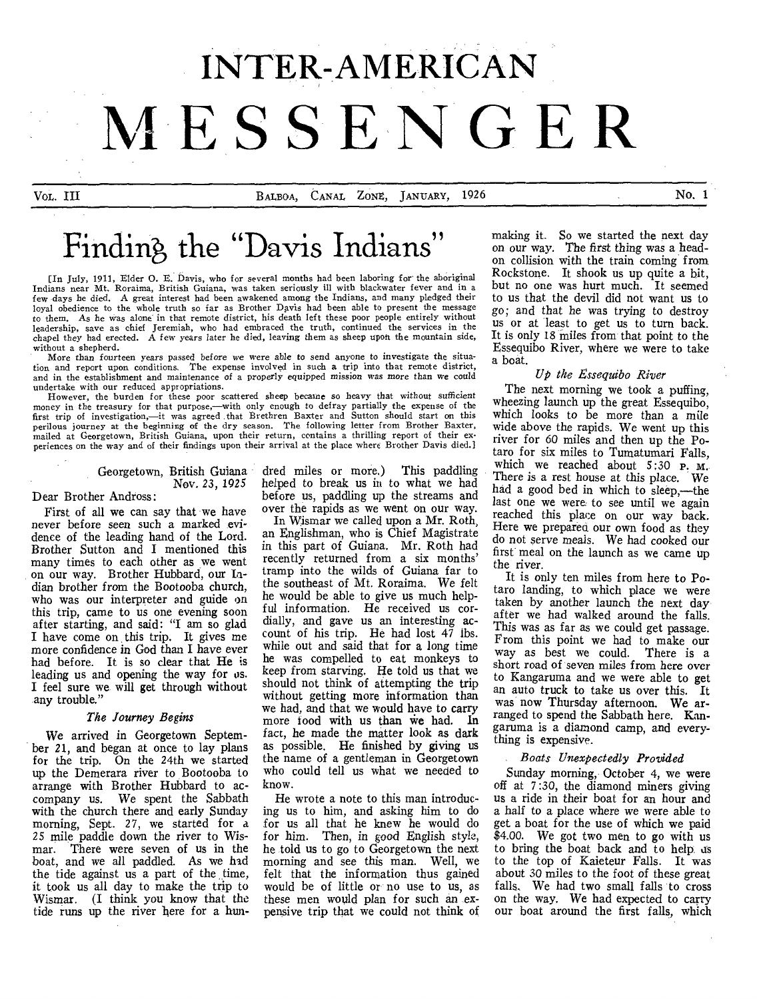# **INTER-AMERICAN MESSENGER**

VOL. III BALBOA, CANAL ZONE, JANUARY, 1926 No. 1

## Finding, the "Davis Indians"

[In July, 1911, Elder 0. E. Davis, who for several months had been laboring for the aboriginal Indians near Mt. Roraima, British Guiana, was taken seriously ill with blackwater fever and in a few days he died. A great interest had been awakened among the Indians, and many pledged their loyal obedience to the whole truth so far as Brother Davis had been able to present the message<br>to them. As he was alone in that remote district, his death left these poor people entirely without<br>leadership, save as chief without a shepherd.

More than fourteen years passed before we were *able* to send anyone to investigate the situation and report upon conditions. The expense involved in such a trip into that remote district, and in the establishment and maintenance of a properly equipped *mission was more than we* could undertake with our reduced appropriations.

However, the burden for these poor scattered sheep became so heavy that without sufficient money in the treasury for that purpose,—with only enough to defray partially the expense of the first trip of investigation,—it was agreed that Brethren Baxter and Sutton should start on this perilous journey at the beginning of the dry season. The following letter from Brother Baxter, mailed at Georgetown, British Guiana, upon their return, contains a thrilling report of their experiences on the way and of their findings upon their arrival at the place where Brother Davis died.]

> Georgetown, British Guiana Nov. 23, 1925

#### Dear Brother Andross:

First of all we can say that we have never before seen such a marked evidence of the leading hand of the Lord. Brother Sutton and I mentioned this many times to each other as we went on our way. Brother Hubbard, our Indian brother from the Bootooba church, who was our interpreter and guide on this trip, came to us one evening soon after starting, and said: "I am so glad I have come on this trip. It gives me more confidence in God than I have *ever*  had before. It is so clear that He is leading us and opening the way for us. I feel sure we- will get through without any trouble."

#### *The Journey Begins*

We arrived in Georgetown September 21, and began at once to lay plans for the trip. On the 24th we started up the Demerara river to Bootooba to arrange with Brother Hubbard to accompany us. We spent the Sabbath with the church there and early Sunday morning, Sept. 27, we started for a *25* mile paddle down the river to Wismar. There were seven of us in the boat, and we all paddled. As we had the tide against us a part of the time, it took us all day to make the trip to Wismar. (I think you know that the tide runs up the river here for a hun-

dred miles or more.) This paddling helped to break us in to what we had before us, paddling up the streams and over the rapids as we went on our way.

In Wismar we called upon a Mr. Roth, an Englishman, who is Chief Magistrate in this part of Guiana. Mr. Roth had recently returned from a six months' tramp into the wilds of Guiana far to the southeast of Mt. Roraima. We felt he would be able to give us much helpful information. He received us cordially, and gave us an interesting account of his trip. He had lost 47 lbs. while out and said that for a long time he was compelled to eat monkeys to keep from starving. He told us that we should not think of attempting the trip without getting more information than we had, and that we would have to carry more food with us than we had. In fact, he made the matter look as dark as possible. He finished by giving us the name of a gentleman in Georgetown who could tell us what we needed to know.

He wrote a note to this man introducing us to him, and asking him to do for us all that he knew he would do for him. Then, in good English style, he told us to go to Georgetown the next morning and see this man. Well, we felt that the information thus gained would be of little or no use to us, as these men would plan for such an expensive trip that we could not think of

making it. So we started the next day on our way. The first thing was a headon collision with the train coming from Rockstone. It shook us up quite a bit, but no one was hurt much. It seemed to us that the devil did not want us to go; and that he was trying to destroy us or at least to get us to turn back. It is only *18* miles from-that point to the Essequibo River, where we were to take a boat.

#### *Up the Essequibo River*

The next morning we took a puffing, wheezing launch up the great Essequibo, which looks to be more than a mile wide above the rapids. We went up this river for 60 miles and then up the Potaro for six miles to Tumatumari Falls, which we reached about 5:30 P. M. There is a rest house at this place. We had a good bed in which to sleep,—the last one we were to see until we again reached this place on our way back. Here we prepared our own food as they do not serve meals. We had cooked our first meal on the launch as we came up the river.

It is only ten miles from here to Potaro landing, to which place we were taken by another launch the next day after we had walked around the falls. This was as far as we could get passage. From this point we had to make our way as best we could. There is a short road of *seven* miles from here over to Kangaruma and we were able to get an auto truck to take us over this. It was now Thursday afternoon. We arranged to spend the Sabbath here. Kangaruma is a diamond camp, and everything is expensive.

#### *Boats Unexpectedly Provided*

Sunday morning, October 4, we were off at 7:30, the diamond miners giving us a ride in their boat for an hour and a half to a place where we were able to get a boat for the use of which we paid \$4.00. We got two men to go with us to bring the boat back and to help as to the top of Kaieteur Falls. It was about 30 miles to the foot of these great falls. We had two small falls to cross on the way. We had expected to carry our boat around the first falls, which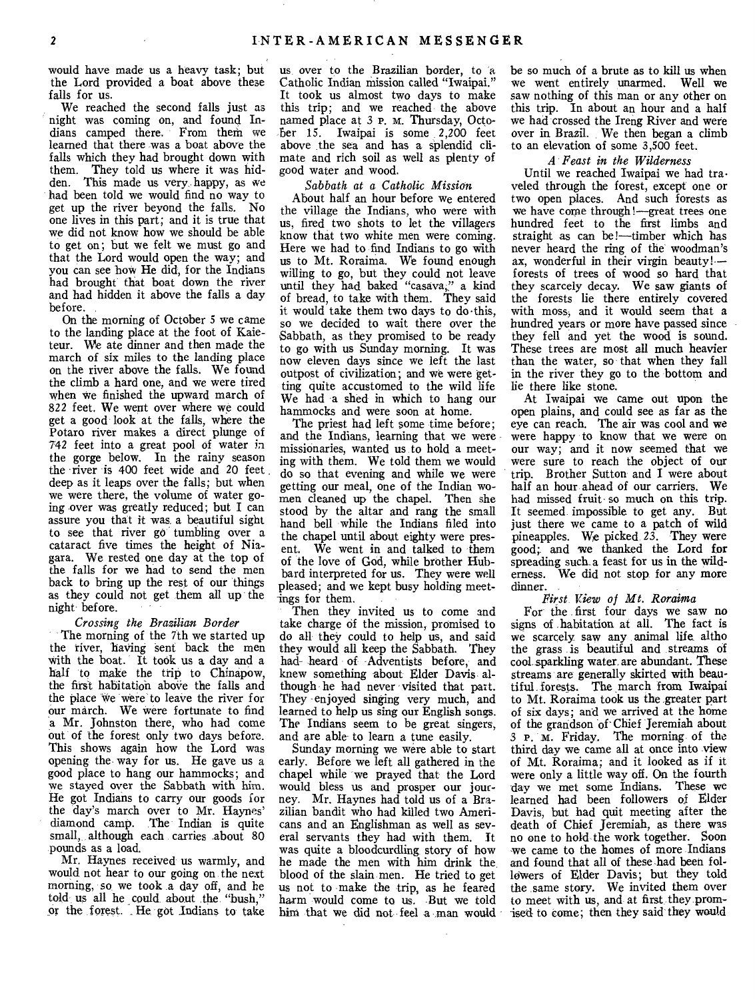would have made us a heavy task; but the Lord provided a boat above these falls for us.

We reached the second falls just as night was coming on, and found Indians camped there. From then' we learned that there was a boat above the falls which they had brought down with them. They told us where it was hidden. This made us very, happy, as we had been told we would find no way to get up the river beyond the falls. No one lives in this part; and it is true that we did not know how we should be able to get on; but we felt we must go and that the Lord would open the way; and you can see how He did, for the Indians had brought that boat down the river and had hidden it above the falls a day before.

On the morning of October 5 we came to the landing place at the foot of Kaieteur. We ate dinner and then made the march of six miles to the landing place on the river above the falls. We found the climb a hard one, and we were tired when we finished the upward march of 822 feet. We went over where we could get a good look at the falls, where the Potaro river makes a direct plunge of 742 feet into a great pool of water in the gorge below. In the rainy season the river is 400 feet wide and 20 feet deep as it leaps over the falls; but when we were there, the volume of water going over was greatly reduced; but I can assure you that it was, a beautiful sight to see that river go tumbling over a cataract five times the height of Niagara. We rested one day at the top of the falls for we had to send the men back to bring up the rest of our things as they could not get them all up the night before.

#### *Crossing the Brazilian Border*

The morning of the 7th we started up the river, having sent back the men with the boat. It took us a day and a half to make the trip to Chinapow, the first habitation above the falls and the place we were to leave the river for our march. We were fortunate to find a Mr. Johnston there, who had come out of the forest only two days before. This shows again how the Lord was opening the way for us. He gave us a good place to hang our hammocks; and we stayed over the Sabbath with him. He got Indians to carry our goods for the day's march over to Mr. Haynes' diamond camp. The Indian is quite small, although each carries .about 80 pounds as a load.

Mr. Haynes received us warmly, and would not hear to our going on the next morning, so we took a day off, and he told us all he could about the "bush," or the forest. He got Indians to take us over to the Brazilian border, to a Catholic Indian mission called "Iwaipai." It took us almost two days to make this trip; and we reached the above named place at 3 **P.** m. Thursday, Octo-ber 15. Iwaipai is some 2,200 feet above the sea and has a splendid climate and rich soil as well as plenty of good water and wood.

#### *Sabbath at a Catholic Mission*

About half an hour before we entered the village the Indians, who were with us, fired two shots to let the villagers know that two white men were coming. Here we had to find Indians to go with us to Mt. Roraima. We found enough willing to go, but they could not leave until they had baked "casava," a kind of bread, to take with them. They said it would take them two days to do•this, so we decided to wait there over the Sabbath, as they promised to be ready to go with us Sunday morning. It was now eleven days since we left the last outpost of civilization; and we were getting quite accustomed to the wild life We had a shed in which to hang our hammocks and were soon at home.

The priest had left some time before; and the Indians, learning that we were missionaries, wanted us to hold a meeting with them. We told them we would do so that evening and while we were getting our meal, one of the Indian women cleaned up the chapel. Then she stood by the altar and rang the small hand bell while the Indians filed into the chapel until about eighty were present. We went in and talked to them of the love of God, while brother Hubbard interpreted for us. They were well pleased; and we kept busy holding meetings for them.

Then they invited us to come and take charge of the mission, promised to do all they could to help us, and said they would all keep the Sabbath. They had heard of Adventists before, and knew something about Elder Davis although he had never visited that part. They enjoyed singing very much, and learned to help us sing our English songs. The Indians seem to be great singers, and are able to learn a tune easily.

Sunday morning we were able to start early. Before we left all gathered in the chapel while we prayed that the Lord would bless us and prosper our journey. Mr. Haynes had told us of a Brazilian bandit who had killed two Americans and an Englishman as well as several servants they had with them. It was quite a bloodcurdling story of how he made the men with him drink the, blood of the slain men. He tried to get us not to make the trip, as he feared harm would come to us. But we told him that we did not feel a man would

be so much of a brute as to kill us when we went entirely unarmed. Well we saw nothing of this man or any other on this trip. In about an hour and a half we had crossed the Ireng River and were over in Brazil. We then began a climb to an elevation of some 3,500 feet.

#### *A Feast in the Wilderness*

Until we reached Iwaipai we had traveled through the forest, except one or two open places. And such forests as we have come through!—great trees one hundred feet to the first limbs and straight as can be!—timber which has never heard the ring of the woodman's ax, wonderful in their virgin beauty!forests of trees of wood so hard that they scarcely decay. We saw giants of the forests lie there entirely covered with moss, and it would seem that a hundred years or more have passed since they fell and yet the wood is sound. These trees are most all much heavier than the water, so that when they fall in the river they go to the bottom and lie there like stone.

At Iwaipai we came out upon the open plains, and could see as far as the eye can reach. The air was cool and we were happy to know that we were on our way; and it now seemed that we were sure to reach the object of our trip. Brother Sutton and I were about half an hour ahead of our carriers. We had missed fruit so much on this trip. It seemed impossible to get any. But just there we came to a patch of wild pineapples. We picked 23. They were good; and we thanked the Lord for spreading such a feast for us in the wilderness. We did not stop for any more dinner.

#### *First View of Mt. Roraima*

For the first four days we saw no signs of habitation at all. The fact is we scarcely saw any animal life altho the grass is beautiful and streams of cool sparkling water are abundant. These streams are generally skirted with beautiful. forests. The march from Iwaipai to Mt. Roraima took us the greater part of six days; and we arrived at the home of the grandson of-Chief Jeremiah about 3 **P.** M. Friday. The morning of the third day we came all at once into view of Mt. Roraima; and it looked as if it were only a little way off. On the fourth -day we met some Indians. These we learned had been followers of Elder Davis, but had quit meeting after the death of Chief Jeremiah, as there was no one to hold the work together. Soon we came to the homes of more Indians and found that all of these had been followers of Elder Davis; but they told the same story. We invited them over to meet with us, and at first they promised to come; then they said they would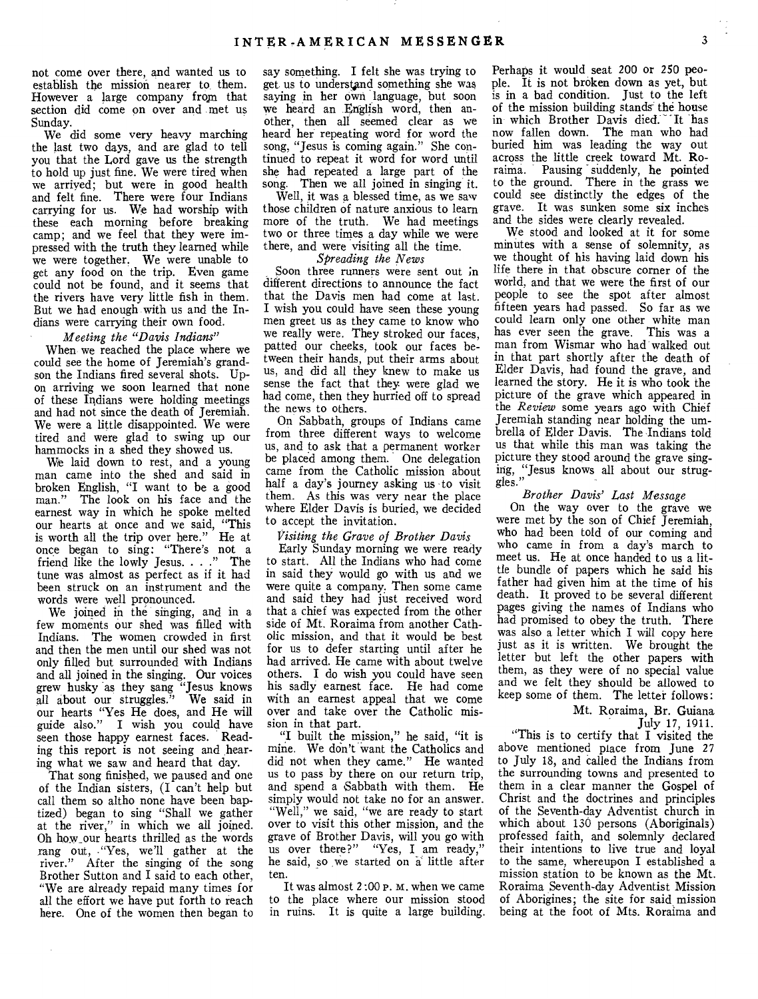not come over there, and wanted us to establish the mission nearer to, them. However a large company from that section did come on over and met us Sunday.

We did some very heavy marching the last two days, and are glad to tell you that the Lord gave us the strength to hold up just fine. We were tired when we arrived; but were in good health and felt fine. There were four Indians carrying for us. We had worship with these each morning before breaking camp; and we feel that they were impressed with the truth they learned while we were together. We were unable to get any food on the trip. Even game could not be found, and it seems that the rivers have very little fish in them. But we had enough with us and the Indians were carrying their own food.

#### *Meeting the "Davis Indians"*

When we reached the place where we could see the home of Jeremiah's grandson the Indians fired several shots. Upon arriving we soon learned that none of these Indians were holding meetings and had not since the death of Jeremiah. We were a little disappointed. We were tired and were glad to swing up our hammocks in a shed they showed us.

We laid down to rest, and a young man came into the shed and said in broken English, "I want to be a good man." The look on his face and the earnest way in which he spoke melted our hearts at once and we said, "This is worth all the trip over here." He at once began to sing: "There's not a friend like the lowly Jesus. . . ." The tune was almost as perfect as if it had been struck on an instrument and the words were well pronounced.

We joined in the singing, and in a few moments our shed was filled with Indians. The women crowded in first and then the men until our shed was not only filled but surrounded with Indians and all joined in the singing. Our voices grew husky as they sang "Jesus knows all about our struggles." We said in our hearts "Yes He does, and He will guide also." I wish you could have seen those happy earnest faces. Reading this report is not seeing and hearing what we saw and heard that day.

That song finished, we paused and one of the Indian sisters, (I can't help but call them so altho none have been baptized) began to sing "Shall we gather at the river," in which we all joined. Oh how\_our hearts thrilled as the words rang out, -"Yes, we'll gather at the river." After the singing of the song Brother Sutton and I said to each other, "We are already repaid many times for all the effort we have put forth to reach here. One of the women then began to

 $\mathcal{L}_{\mathcal{A}}$ 

say something. I felt she was trying to get us to understand something she was saying in her own language, but soon we heard an English word, then another, then all seemed clear as we heard her repeating word for word the song, "Jesus is coming again." She continued to repeat it word for word until she had repeated a large part of the song. Then we all joined in singing it.

Well, it was a blessed time, as we saw those children of nature anxious to learn more of the truth. We had meetings two or three times a day while we were there, and were visiting all the time.

#### *Spreading the News*

Soon three runners were sent out in different directions to announce the fact that the Davis men had come at last. I wish you could have seen these young men greet us as they came to know who we really were. They stroked our faces, patted our cheeks, took our faces between their hands, put their arms about us, and did all they knew to make us sense the fact that they were glad we had come, then they hurried off to spread the news to others.

On Sabbath, groups of Indians came from three different ways to welcome us, and to ask that a permanent worker be placed among them. One delegation came from the Catholic mission about half a day's journey asking us to visit them. As this was very near the place where Elder Davis is buried, we decided to accept the invitation.

#### *Visiting the Grave of Brother Davis*

Early Sunday morning we were ready to start. All the Indians who had come in said they would go with us and we were quite a company. Then some came and said they had just received word that a chief was expected from the other side of Mt. Roraima from another Catholic mission, and that it would be best for us to defer starting until after he had arrived. He came with about twelve others. I do wish you could have seen his sadly earnest face. He had come with an earnest appeal that we come over and take over the Catholic mission in that part.

"I built the mission," he said, "it is mine. We don't want the Catholics and did not when they came." He wanted us to pass by there on our return trip, and spend a Sabbath with them. He simply would not take no for an answer. "Well," we said, "we are ready to start over to visit this other mission, and the grave of Brother Davis, will you go with us over there?" "Yes, I am ready," he said, so we started on a little after ten.

It was almost 2:00 P. M. when we came to the place where our mission stood in ruins. It is quite a large building.

Perhaps it would seat 200 or 250 people. It is not broken down as yet, but is in a bad condition. Just to the left of the mission building stands the house<br>in which Brother Davis died. It has in which Brother Davis died. now fallen down. The man who had buried him was leading the way out across the little creek toward Mt. Roraima. Pausing suddenly, he pointed to the ground. There in the grass we could see distinctly the edges of the grave. It was sunken some six inches and the sides were clearly revealed.

We stood and looked at it for some minutes with a sense of solemnity, as we thought of his having laid down his life there in that obscure corner of the world, and that we were the first of our people to see the spot after almost fifteen years had passed. So far as we could learn only one other white man has ever seen the grave. This was a man from Wismar who had walked out in that part shortly after the death of Elder Davis, had found the grave, and learned the story. He it is who took the picture of the grave which appeared in the *Review* some years ago with Chief Jeremiah standing near holding the umbrella of Elder Davis. The Indians told us that while this man was taking the picture they stood around the grave singing, "Jesus knows all about our struggles."

#### *Brother Davis' Last Message*

On the way over to the grave we were met by the son of Chief Jeremiah, who had been told of our coming and who came in from a day's march to meet us. He at once handed to us a little bundle of papers which he said his father had given him at the time of his death. It proved to be several different pages giving the names of Indians who had promised to obey the truth. There was also a letter which I will copy here just as it is written. We brought the letter but left the other papers with them, as they were of no special value and we felt they should be allowed to keep some of them. The letter follows:

Mt. Roraima, Br. Guiana July 17, 1911.

"This is to certify that I visited the above mentioned place from June 27 to July 18, and called the Indians from the surrounding towns and presented to them in a clear manner the Gospel of Christ and the doctrines and principles of the Seventh-day Adventist church in which about 130 persons (Aboriginals) professed faith, and solemnly declared their intentions to live true and loyal to the same, whereupon I established a mission station to be known as the Mt. Roraima Seventh-day Adventist Mission of Aborigines; the site for said mission being at the foot of Mts. Roraima and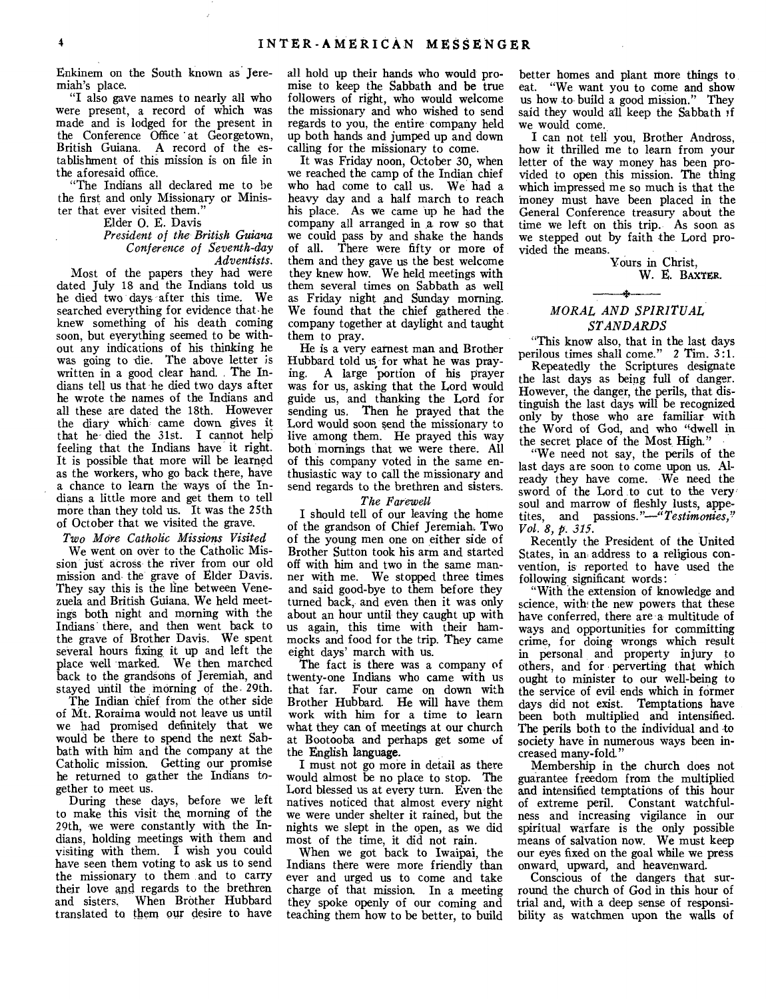Enkinem on the South known as Jeremiah's place.

"I also gave names to nearly all who were present, a record of which was made and is lodged for the present in the Conference Office at Georgetown, British Guiana. A record of the establishment of this mission is on file in the aforesaid office.

"The Indians all declared me to be the first and only Missionary or Minister that ever visited them."

Elder 0. E. Davis

#### *President of the British Guiana Conference of Seventh-day Adventists.*

Most of the papers they had were dated July 18 and the Indians told us he died two days after this time. We searched everything for evidence that-he knew something of his death coming soon, but everything seemed to be without any indications of his thinking he was going to die. The above letter is written in a good clear hand. The Indians tell us that he died two days after he wrote the names of the Indians and all these are dated the 18th. However the diary which came down gives it that he died the 31st. I cannot help feeling that the Indians have it right. It is possible that more will be learned as the workers, who go back there, have a chance to learn the ways of the Indians a little more and get them to tell more than they told us. It was the 25th of October that we visited the grave.

#### *Two More Catholic Missions Visited*

We went on over to the Catholic Mission just across the river from our old mission and the grave of Elder Davis. They say this is the line between Venezuela and British Guiana. We held meetings both night and morning with the Indians there, and then went back to the grave of Brother Davis. We spent several hours fixing it up and left the place well marked. We then marched back to the grandsons of Jeremiah, and stayed until the morning of the. 29th.

The Indian chief from the other side of Mt. Roraima would not leave us until we had promised definitely that we would be there to spend the next Sabbath with him and the company at the Catholic mission. Getting our promise he returned to gather the Indians together to meet us.

During these days, before we left to make this visit- the morning of the 29th, we were constantly with the Indians, holding meetings with them and visiting with them. I wish you could have seen them voting to ask us to send the missionary to them and to carry their love and regards to the brethren and sisters. When Brother Hubbard translated to them our desire to have

all hold up their hands who would promise to keep the Sabbath and be true followers of right, who would welcome the missionary and who wished to send regards to you, the entire company held up both hands and jumped up and down calling for the missionary to come.

It was Friday noon, October 30, when we reached the camp of the Indian chief who had come to call us. We had a heavy day and a half march to reach his place. As we came up he had the company all arranged in a row so that we could pass by and shake the hands of all. There were fifty or more of them and they gave us the best welcome they knew how. We held meetings with them several times on Sabbath as well as Friday night *And* Sunday morning. We found that the chief gathered the company together at daylight and taught them to pray.

He is a very earnest man and Brother Hubbard told us for what he was pray-<br>ing. A large portion of his prayer A large portion of his prayer was for us, asking that the Lord would guide us, and thanking the Lord for sending us. Then he prayed that the Lord would soon send the missionary to live among them. He prayed this way both mornings that we were there. All of this company voted in the same enthusiastic way to call the missionary and send regards to the brethren and sisters.

#### *The Farewell*

I should tell of our leaving the home of the grandson of Chief Jeremiah. Two of the young men one on either side of Brother Sutton took his arm and started off with him and two in the same manner with me. We stopped three times and said good-bye to them before they turned back, and even then it was only about an hour until they caught up with us again, this time with their hammocks and food for the trip. They came eight days' march with us.

The fact is there was a company of twenty-one Indians who came with us that far. Four came on down with Brother Hubbard. He will have them work with him for a time to learn what they can of meetings at our church at Bootooba and perhaps get some of the English language.

I must not go more in detail as there would almost be no place to stop. The Lord blessed us at every turn. Even the natives noticed that almost every night we were under shelter it rained, but the nights we slept in the open, as we did most of the time, it did not rain.

When we got back to Iwaipai, the Indians there were more friendly than ever and urged us to come and take charge of that mission. In a meeting they spoke openly of our coming and teaching them how to be better, to build

better homes and plant more things to eat. "We want you to come and show us how to build a good mission." They said they would all keep the Sabbath if we would come.

I can not tell you, Brother Andross, how it thrilled me to learn from your letter of the way money has been provided to open this mission. The thing which impressed me so much is that the money must have been placed in the General Conference treasury about the time we left on this trip. As soon as we stepped out by faith the Lord provided the means.

Yours in Christ, W. E. BAXTER.

#### *MORAL AND SPIRITUAL STANDARDS*

"This know also, that in the last days perilous times shall come." 2 Tim. 3:1.

Repeatedly the Scriptures designate the last days as being full of danger. However, the danger, the perils, that distinguish the last days will be recognized only by those who are familiar with the Word of God, and who "dwell in the secret place of the Most High."

"We need not say, the perils of the last days are soon to come upon us. Already they have come. We need the sword of the Lord to cut to the very soul and marrow of fleshly lusts, appetites, and *passions."—"Testimonies," Vol. 8, p. 315.* 

Recently the President of the United States, in an address to a religious convention, is reported to have used the following significant words:

"With the extension of knowledge and science, with the new powers that these have conferred, there are a multitude of ways and opportunities for committing crime, for doing- wrongs which result in personal and property injury to others, and for perverting that which ought to minister to our well-being to the service of evil- ends which in former days did not exist. Temptations have been both multiplied and intensified. The perils both to the individual and to society have in numerous ways been increased many-fold."

Membership in the church does not guarantee freedom from the multiplied and intensified temptations of this hour of extreme peril. Constant watchfulness and increasing vigilance in our spiritual warfare is the only possible means of salvation now. We must keep our eyes fixed on the goal while we press onward, upward, and heavenward.

Conscious of the dangers that surround the church of God in this hour of trial and, with a deep sense of responsibility as watchmen upon the walls of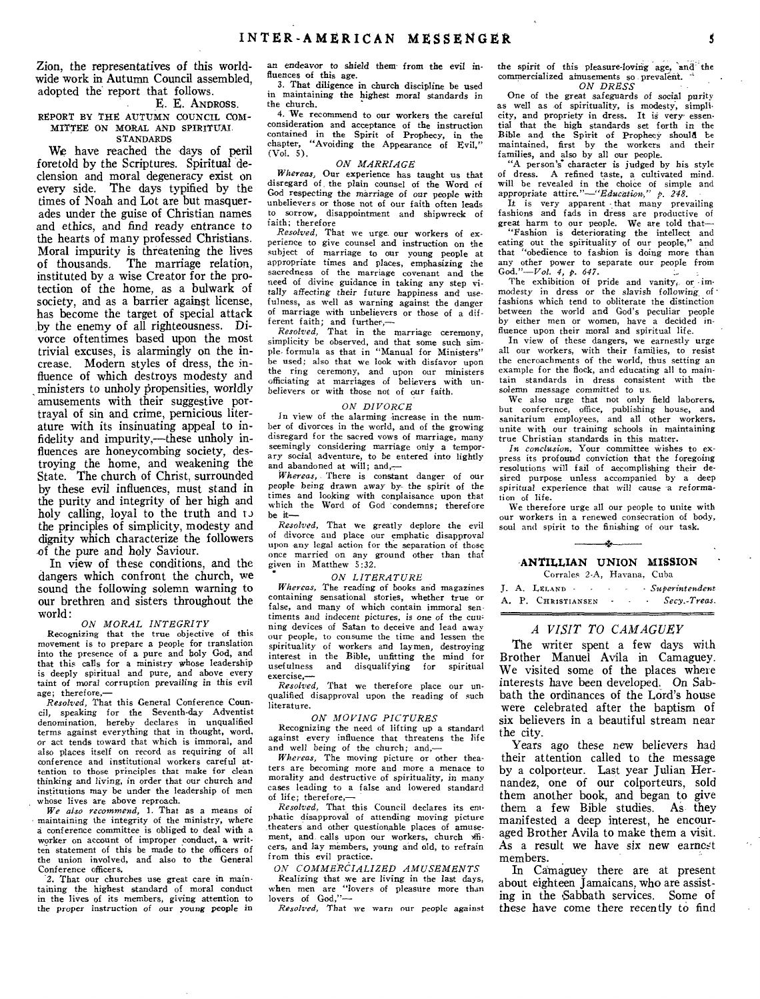Zion, the representatives of this worldwide work in Autumn Council assembled, adopted the report that follows.

#### E. E. ANDROSS.

REPORT BY THE AUTUMN COUNCIL COM-MITTEE ON MORAL AND SPIRITUAI. STANDARDS

We have reached the days of peril foretold by the Scriptures. Spiritual declension and moral degeneracy exist on every side. The days typified by the times of Noah and Lot are but masquerades under the guise of Christian names and ethics, and find ready entrance to the hearts of many professed Christians. Moral impurity is threatening the lives of thousands. The marriage relation, instituted by a wise Creator for the protection of the home, as a bulwark of society, and as a barrier against license, has become the target of special attack by the enemy of all righteousness. Divorce oftentimes based upon the most trivial excuses, is alarmingly on the increase. Modern styles of dress, the influence of which destroys modesty and ministers to unholy propensities, worldly amusements with their suggestive portrayal of sin and crime, pernicious literature with its insinuating appeal to infidelity and impurity,—these unholy influences are honeycombing society, destroying the home, and weakening the State. The church of Christ, surrounded by these evil influences, must stand in the purity and integrity of her high and holy calling, loyal to the truth and to the principles of simplicity, modesty and dignity which characterize the followers of the pure and holy Saviour.

In view of these conditions, and the dangers which confront the church, we sound the following solemn warning to our brethren and sisters throughout the world:

#### *ON MORAL INTEGRITY*

Recognizing that the true objective of this movement is to prepare a people for translation into the presence of a pure and holy God, and that this calls for a ministry whose leadership is deeply spiritual and pure, and above every taint of moral corruption prevailing in this evil age; therefore,—

*Resolved,* That this General Conference Council, speaking for the Seventh-day Adventist denomination, hereby declares in unqualified terms against everything that in thought, word, or act tends toward that which is immoral, and also places itself on record as requiring of all conference and institutional workers careful attention to those principles that make for clean thinking and living, in order that our church and institutions may be under the leadership of men whose lives are above reproach.

*We also recommend, 1.* That as a means of maintaining the integrity of the ministry, where a conference committee is obliged to deal with a worker on account of improper conduct, a written statement of this be made to the officers of the union involved, and also to the General Conference officers.

2. That our churches use great care in maintaining the highest standard of moral conduct in the lives of its members, giving attention to the proper instruction of our *young* people in an endeavor to shield them- from the evil influences of this age.

3. That diligence in church discipline be used in maintaining the highest moral standards in the church.

4. We recommend to our workers the careful consideration and acceptance of the instruction contained in the Spirit of Prophecy, in the chapter, "Avoiding the Appearance of Evil," (Vol. 5).

#### *ON MARRIAGE*

*Whereas,* Our experience has taught us that disregard of . the plain counsel of the Word of God respecting the marriage of our people with unbelievers or those not of our faith often leads to sorrow, disappointment and shipwreck of faith; therefore

*Resolved,* That we urge. our workers of experience to give counsel and instruction on the subject of marriage to our young people at appropriate times and places, emphasizing the sacredness of the marriage covenant and the need of divine guidance in taking any step vitally *affecting* their future happiness and usefulness, as well as warning against the danger of marriage with unbelievers or those of a different faith; and further,— *Resolved,* That in the marriage ceremony,

simplicity be observed, and that some such sim-ple- formula as that in "Manual for Ministers" be used; also that we look with disfavor upon the ring ceremony, and upon our ministers officiating at marriages of believers with unbelievers or with those not of our faith.

#### *ON DIVORCE*

In view of the alarming increase in the number of divorces in the world, and of the growing disregard for the sacred vows of marriage, many seemingly considering marriage only a temporary social adventure, to be entered into lightly and abandoned at will; and,—

*Whereas,* There is constant danger of our people- being drawn away by- the spirit of *the*  times and looking with conplaisance upon that which the Word of God 'condemns; therefore be it—

*Resolved,* That we greatly deplore the evil of divorce and place our emphatic disapproval upon any legal action for the separation of those once married on any ground other than that given in Matthew 5:32.

#### *ON LITERATURE*

*Whereas,* The reading of books and magazines containing sensational stories, whether true or false, and many of which contain immoral sen*timents* and indecent pictures, is *one* of the cunning devices of Satan to deceive and lead away our people, to consume the time and lessen the spirituality of workers and laymen, destroying interest in the Bible, unfitting the mind for<br>usefulness and disqualifying for spiritual usefulness and disqualifying for exercise,—

*Resolved,* That we therefore place our unqualified disapproval upon the reading of such literature.

#### *ON MOVING PICTURES*

Recognizing the need of lifting up a standard against every influence that threatens the life and well being of the church; and,—

*Whereas,* The moving picture or other theaters are becoming more and more a menace to morality and destructive of spirituality, in many cases leading to a false and lowered standard of life; therefore,—

*Resolved,* That this Council declares its emphatic disapproval of attending moving picture theaters and other questionable places of amusement, and calls upon our workers, church officers, and lay members, young and old, to refrain from this evil practice.

*ON COMMERCIALIZED AMUSEMENTS* 

Realizing that we are living in the last days, when men are "lovers of pleasure more than lovers of God,"—

*Resolved,* That we warn our people against

the spirit of this pleasure-loving age, and the commercialized amusements so prevalent. *ON DRESS* 

One of the great *safeguards of social* purity as well as of spirituality, is modesty, simplicity, and propriety in dress. It is very- essenthat the high standards set forth in the Bible and the Spirit of Prophecy should be maintained, first by the workers and their families, and also by all our people.<br>"A person's character is judged by his style

of dress. A refined taste, a cultivated mind. will be revealed in the choice of simple and appropriate *attire."—"Education;" p. 248.* 

It is very apparent that many prevailing fashions and fads in dress are productive of great harm to our people. We are told that—

"Fashion is deteriorating the intellect and eating out the spirituality of our people," and that "obedience to fashion is doing more than any other power to separate our people from God."—Vol. *4, p. 647.* 

The exhibition of pride and vanity, or  $\cdot$  immodesty in dress or the slavish following of fashions which tend to obliterate the distinction between the world and God's peculiar people by either men or women, have a decided influence upon their moral and spiritual life.

In view of these dangers, we earnestly urge all our workers, with their families, to resist the encroachments of the world, thus setting an example for the flock, and educating all to maintain standards in dress consistent with the solemn *message* committed to us.

We also urge that not only field laborers, but conference, office, publishing house, and sanitarium employees, and all other workers, unite with our training schools in maintaining true Christian standards in this matter.

*In conclusion,* Your committee wishes to express its profound conviction that the foregoing resolutions will fail of accomplishing their desired purpose unless accompanied by a deep spiritual experience that will cause a reformation of life.

We therefore urge all our people to unite with our workers in a renewed consecration of body, soul and spirit to the finishing of our task. —4\*

#### **ANTILLIAN UNION MISSION**   $\epsilon$  2.A, Havana, Cubaana, Cubaana, Cubaana, Cubaana, Cubaana, Cubaana, Cubaana, Cubaana, Cubaana, Cubaana, Cubaana, Cubaana, Cubaana, Cubaana, Cubaana, Cubaana, Cubaana, Cubaana, Cubaana, Cubaana, Cubaana, Cubaana, Cubaa

|  | Corrales 2-A, Havalla, Cuba |                 |                          |  |                  |
|--|-----------------------------|-----------------|--------------------------|--|------------------|
|  | J. A. LELAND                | <b>Contract</b> | ٠                        |  | · Superintendent |
|  | A. P. CHRISTIANSEN          |                 | $\overline{\phantom{a}}$ |  | Secy.-Treas.     |

#### *A VISIT TO CAMAGUEY*

The writer spent a few days with Brother Manuel Avila in Camaguey. We visited some of the places where interests have been developed. On Sabbath the ordinances of the Lord's house were celebrated after the baptism of six believers in a beautiful stream near the city.

Years ago these new believers had their attention called to the message by a colporteur. Last year Julian Hernandez, one of our colporteurs, sold them another book, and began to give them a few Bible studies. As they manifested a deep interest, he encouraged Brother Avila to make them a visit. As a result we have six new earnest members.

In Camaguey there are at present about eighteen Jamaicans, who are assisting in the Sabbath services. Some of these have come there recently to find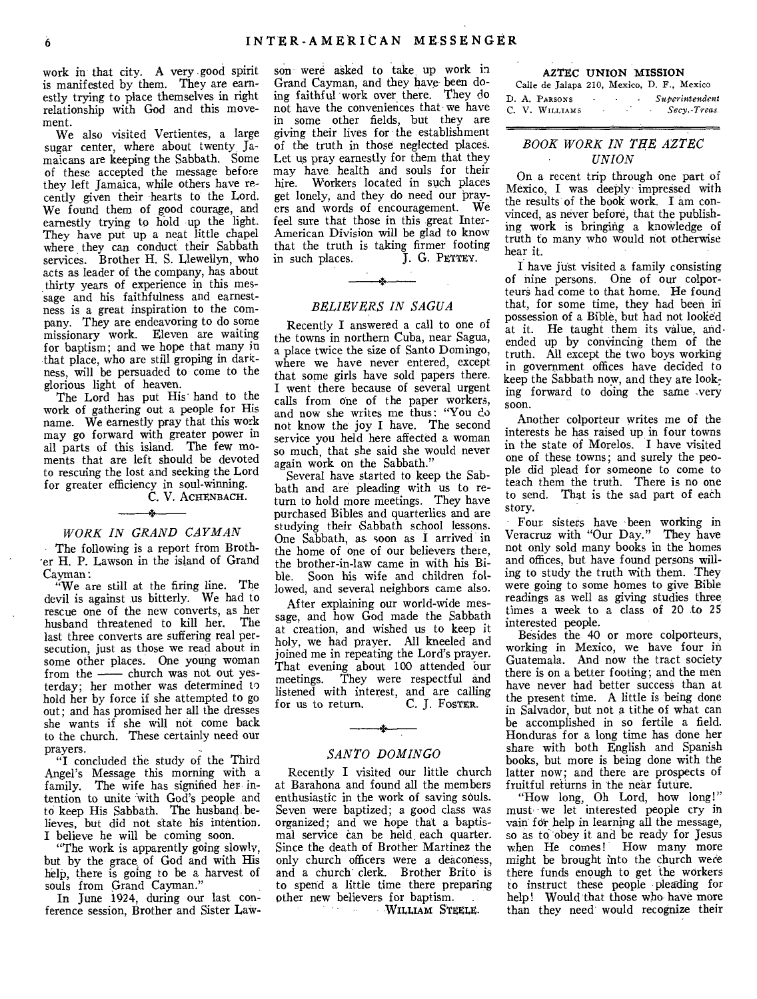work in that city. A very good spirit is manifested by them. They are earnestly trying to place themselves in right relationship with God and this movement.

We also visited Vertientes, a large sugar center, where about twenty Jamaicans are keeping the Sabbath. Some of these accepted the message before they left Jamaica, while others have recently given their hearts to the Lord. We found them of good courage, and earnestly trying to hold up the light. They have put up a neat little chapel where they can conduct their Sabbath services. Brother H. S. Llewellyn, who acts as leader of the company, has about thirty years of experience in this message and his faithfulness and earnestness is a great inspiration to the company. They are endeavoring to do some missionary work. Eleven are waiting for baptism; and we hope that many in that place, who are still groping in darkness, will be persuaded to come to the glorious light of heaven.

The Lord has put His' hand to the work of gathering out a people for His name. We earnestly pray that this work may go forward with greater power in all parts of this island. The few moments that are left should be devoted to rescuing the lost and seeking the Lord for greater efficiency in soul-winning.

C. V. ACHENBACH.

#### *WORK IN GRAND CAYMAN*

The following is a report from Brother H. P. Lawson in the island of Grand Cayman:

"We are still at the firing line. The devil is against us bitterly. We had to rescue one of the new converts, as her husband threatened to kill her. The last three converts are suffering real persecution, just as those we read about in some other places. One young woman from the - church was not out yesterday; her mother was determined to hold her by force if she attempted to go out; and has promised her all the dresses she wants if she will not come back to the church. These certainly need our prayers.

"I concluded the study of the Third Angel's Message this morning with a family. The wife has signified her intention to unite with God's people and to keep His Sabbath. The husband believes, but did not state his intention. I believe he will be coming soon.

"The work is apparently going slowly, but by the grace, of God and with His help, there is going to be a harvest of souls from Grand Cayman."

In June 1924, during our last conference session, Brother and Sister Law-

son were asked to take up work in Grand Cayman, and they have been doing faithful work over there. They do not have the conveniences that we have in some other fields, but they are giving their lives for the establishment of the truth in those neglected places. Let us pray earnestly for them that they may have health and souls for their hire. Workers located in such places get lonely, and they do need our prayers and words of encouragement. We feel sure that those in this great Inter-American Division will be glad to know that the truth is taking firmer footing<br>in such places. [J. G. PETTEY.] in such places.

#### *BELIEVERS IN SAGUA*

Recently I answered a call to one of the towns in northern Cuba, near Sagua, a place twice the size of Santo Domingo, where we have never entered, except that some girls have sold papers there. I went there because of several urgent calls from one of the paper workers, and now she writes me thus: "You do not know the joy I have. The second service you held here affected a woman so much, that she said she would never again work on the Sabbath."

Several have started to keep the Sabbath and are pleading with us to return to hold more meetings. They have purchased Bibles and quarterlies and are studying their Sabbath school lessons. One Sabbath, as soon as I arrived in the home of one of our believers there, the brother-in-law came in with his Bible. Soon his wife and children followed, and several neighbors came also.

After explaining our world-wide message, and how God made the Sabbath at creation, and wished us to keep it holy, we had prayer. All kneeled and joined me in repeating the Lord's prayer. That evening about 100 attended bur meetings. They were respectful and listened with interest, and are calling<br>for us to return. C. J. Foster. for us to return.

#### *SANTO DOMINGO*

Recently I visited our little church at Barahona and found all the members enthusiastic in the work of saving souls. Seven were baptized; a good class was organized; and we hope that a baptismal service can be held each quarter. Since the death of Brother Martinez the only church officers were a deaconess, and a church clerk. Brother Brito is to spend a little time there preparing other new believers for baptism.

WILLIAM STEELE.

| AZTEC UNION MISSION                        |                   |                          |                |
|--------------------------------------------|-------------------|--------------------------|----------------|
| Calle de Jalapa 210, Mexico, D. F., Mexico |                   |                          |                |
| D. A. Parsons                              | <b>Contractor</b> | $\sim$<br><b>Service</b> | Superintendent |
| C. V. Williams                             |                   | $\sim$                   | - Secv.-Treas. |

#### *BOOK WORK IN THE AZTEC UNION*

On a recent trip through one part of Mexico, I was deeply impressed with the results of the book work. I am convinced, as never before, that the publishing work is bringing a knowledge of truth to many who would not otherwise hear it.

I have just visited a family consisting of nine persons. One of our colporteurs had come to that home. He found that, for some time, they had been in possession of a Bible, but had not looked at it. He taught them its value, andended up by convincing them of the truth. All except the two boys working in government offices have decided to keep the Sabbath now, and they are looking forward to doing the same very soon.

Another colporteur writes me of the interests he has raised up in four towns in the state of Morelos. I have visited one of these towns; and surely the people did plead for someone to come to teach them the truth. There is no one to send. That is the sad part of each story.

Four sisters have been working in Veracruz with "Our Day." They have not only sold many books in the homes and offices, but have found persons willing to study the truth with them. They were going to some homes to give Bible readings as well as giving studies three times a week to a class of 20 to 25 interested people.

Besides the 40 or more colporteurs, working in Mexico, we have four in Guatemala. And now the tract society there is on a better footing; and the men have never had better success than at the present time. A little is being done in Salvador, but not a tithe of what can be accomplished in so fertile a field. Honduras for a long time has done her share with both English and Spanish books, but more is being done with the latter now; and there are prospects of fruitful returns in the near future.

"How long, Oh Lord, how long!" must we let interested people cry in vain for help in learning all the message, so as to obey it and be ready for Jesus when He comes! How many more might be brought into the church were there funds enough to get the workers to instruct these people pleading for help! Would that those who have more than they need would recognize their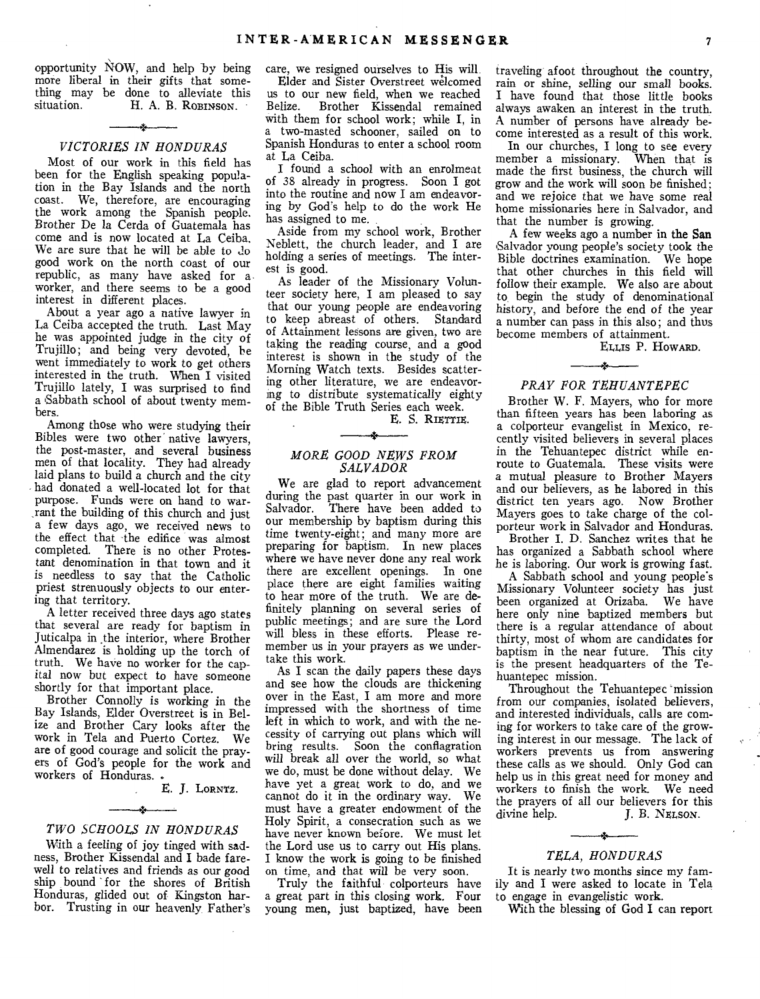opportunity NOW, and help by being more liberal in their gifts that something may be done to alleviate this<br>situation. H. A. B. ROBINSON. H. A. B. ROBINSON.

#### بازب *VICTORIES IN HONDURAS*

Most of our work in this field has been for the English speaking population in the Bay Islands and the north coast. We, therefore, are encouraging the work among the Spanish people. Brother De la Cerda of Guatemala has come and is now located at La Ceiba. We are sure that he will be able to do good work on the north coast of our republic, as many have asked for a worker, and there seems to be a good interest in different places.

About a year ago a native lawyer in La Ceiba accepted the truth. Last May he was appointed judge in the city of Trujillo; and being very devoted, he went immediately to work to get others interested in the truth. When I visited Trujillo lately, I was surprised to find a Sabbath school of about twenty members.

Among those who were studying their Bibles were two other native lawyers, the post-master, and several business men of that locality. They had already laid plans to build a church and the city had donated a well-located lot for that purpose. Funds were on hand to war- ,rant the building of this church and just a few days ago, we received news to the effect that the edifice was almost completed. There is no other Protestant denomination in that town and it is needless to say that the Catholic priest strenuously objects to our entering that territory.

A letter received three days ago states that several are ready for baptism in Juticalpa in .the interior, where Brother Almendares is holding up the torch of truth. We have no worker for the capital now but expect to have someone shortly for that important place.

Brother Connolly is working in the Bay Islands, Elder Overstreet is in Belize and Brother Cary looks after the work in Tela and Puerto Cortez. We are of good courage and solicit the prayers of God's people for the work and workers of Honduras.

#### E. J. LORNTZ.

#### $\rightarrow$ *TWO SCHOOLS IN HONDURAS*

With a feeling of joy tinged with sadness, Brother Kissendal and I bade farewell to relatives and friends as our good ship bound for the shores of British Honduras, glided out of Kingston harbor. Trusting in our heavenly Father's care, we resigned ourselves to His will.

Elder and Sister Overstreet welcomed us to our new field, when we reached Brother Kissendal remained with them for school work; while I, in a two-masted schooner, sailed on to Spanish Honduras to enter a school room at La Ceiba.

I found a school with an enrolment of 38 already in progress. Soon I got into the routine and now I am endeavoring by God's help to do the work He has assigned to me.

Aside from my school work, Brother Neblett, the church leader, and I are holding a series of meetings. The interest is good.

As leader of the Missionary Volunteer society here, I am pleased to say that our young people are endeavoring to keep abreast of others. Standard of Attainment lessons are given, two are taking the reading course, and a good interest is shown in the study of the Morning Watch texts. Besides scattering other literature, we are endeavoring to distribute systematically eighty of the Bible Truth Series each week. E. S. RIETTIE.

#### *MORE GOOD NEWS FROM SALVADOR*

We are glad to report advancement during the past quarter in our work in Salvador. There have been added to our membership by baptism during this time twenty-eight; and many more are preparing for baptism. In new places where we have never done any real work there are excellent openings. In one place there are eight families waiting to hear more of the truth. We are definitely planning on several series of public meetings; and are sure the Lord will bless in these efforts. Please remember us in your prayers as we undertake this work.

As I scan the daily papers these days and see how the clouds are thickening over in the East, I am more and more impressed with the shortness of time left in which to work, and with the necessity of carrying out plans which will bring results. Soon the conflagration will break all over the world, so what we do, must be done without delay. We have yet a great work to do, and we cannot do it in the ordinary way. We must have a greater endowment of the Holy Spirit, a consecration such as we have never known before. We must let the Lord use us to carry out His plans. I know the work is going to be finished on time, and that will be very soon.

Truly the faithful colporteurs have a great part in this closing work. Four young men, just baptized, have been

traveling afoot throughout the country, rain or shine, selling our small books. I have found that those little books always awaken an interest in the truth. A number of persons have already become interested as a result of this work.

In our churches, I long to see every member a missionary. When that is made the first business, the church will grow and the work will soon be finished: and we rejoice that we have some real home missionaries here in. Salvador, and that the number is growing.

A few weeks ago a number in the San Salvador young people's society took the Bible doctrines examination. We hope that other churches in this field will follow their example. We also are about to, begin the study of denominational history, and before the end of the year a number can pass in this also; and thus become members of attainment.

ELLis P. HOWARD.

#### لمخب *PRAY FOR TEHUANTEPEC*

Brother W. F. Mayers, who for more than fifteen years has been laboring as a colporteur evangelist in Mexico, recently visited believers in several places in the Tehuantepec district while enroute to Guatemala. These visits were a mutual pleasure to Brother Mayers and our believers, as he labored in this district ten years ago. Now Brother Mayers goes to take charge of the colporteur work in Salvador and Honduras.

Brother I. D. Sanchez writes that he has organized a Sabbath school where he is laboring. Our work is growing fast.

A Sabbath school and young people's Missionary Volunteer society has just been organized at Orizaba. We have here only nine baptized members but there is a regular attendance of about thirty, most of whom are candidates for baptism in the near future. This city is the present headquarters of the Tehuantepec mission.

Throughout the Tehuantepec mission from our companies, isolated believers, and interested individuals, calls are coming for workers to take care of the growing interest in our message. The lack of workers prevents us from answering these calls as we should. Only God can help us in this great need for money and workers to finish the work. We need the prayers of all our believers for this divine help. [1]  $\overline{B}$ . NELSON. J. B. NELSON.

#### A. *TELA, HONDURAS*

It is nearly two months since my family and I were asked to locate in Tela to engage in evangelistic work.

With the blessing of God I can report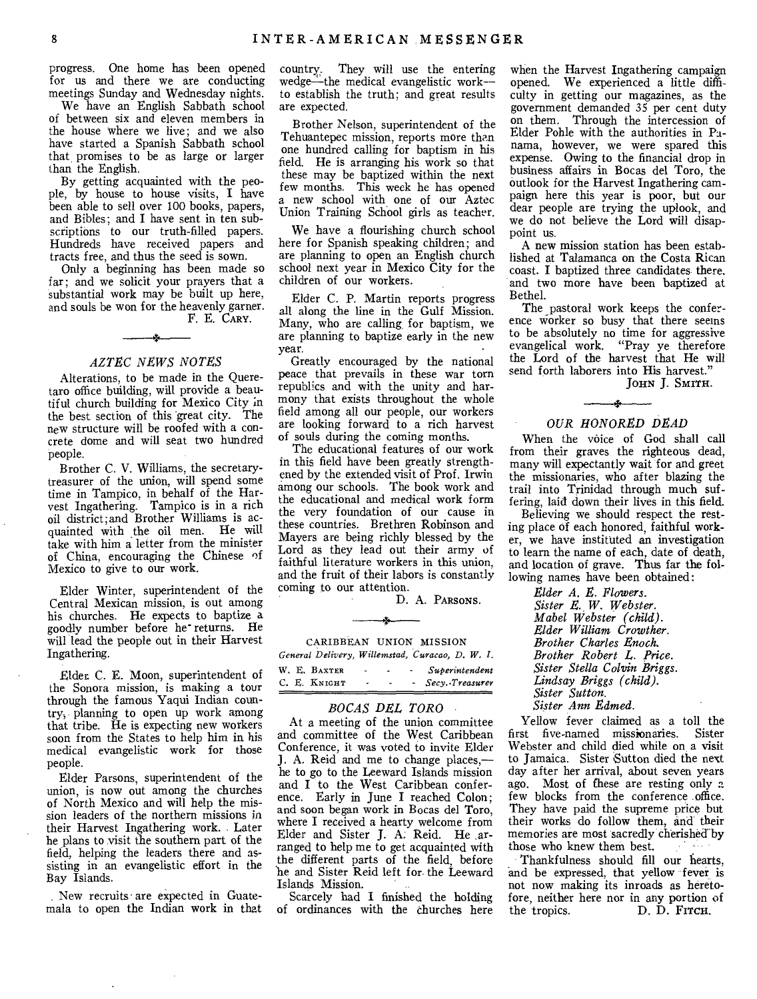progress. One home has been opened for us and there we are conducting meetings Sunday and Wednesday nights.

We have an English Sabbath school of between six and eleven members in the house where we live; and we also have started a Spanish Sabbath school that promises to be as large or larger than the English.

By getting acquainted with the people, by house to house visits, I have been able to sell over 100 books, papers, and Bibles; and I have sent in ten subscriptions to our truth-filled papers. Hundreds have received papers and tracts free, and thus the seed is sown.

Only a beginning has been made so far; and we solicit your prayers that a substantial work may be built up here, and souls be won for the heavenly garner. F. E. CARY.

#### *AZTEC NEWS NOTES*

Alterations, to be made in the Queretaro office building, will provide a beautiful church building for Mexico City in the best section of this great city. The new structure will be roofed with a concrete dome and will seat two hundred people.

Brother C. V. Williams, the secretarytreasurer of the union, will spend some time in Tampico, in behalf of the Harvest Ingathering. Tampico is in a rich oil district; and Brother Williams is acquainted with the oil men. He will take with him a letter from the minister of China, encouraging the Chinese of Mexico to give to our work.

Elder Winter, superintendent of the Central Mexican mission, is out among his churches. He expects to baptize a goodly number before he returns. He will lead the people out in their Harvest Ingathering.

Elder, C. E. Moon, superintendent of the Sonora mission, is making a tour through the famous Yaqui Indian country-, planning to open up work among that tribe. He is expecting new workers soon from the States to help him in his medical evangelistic work for those people.

Elder Parsons, superintendent of the union, is now out among the churches of North Mexico and will help the mission leaders of the northern missions in their Harvest Ingathering work. Later he plans to visit the southern part of the field, helping the leaders there and assisting in an evangelistic effort in the Bay Islands.

New recruits are expected in Guatemala to open the Indian work in that country, They will use the entering wedge—the medical evangelistic work-to establish the truth; and great results are expected.

Brother Nelson, superintendent of the Tehuantepec mission, reports more than one hundred calling for baptism in his field. He is arranging his work so that these may be baptized within the next few months. This week he has opened a new school with one of our Aztec Union Training School girls as teacher.

We have a flourishing church school here for Spanish speaking children; and are planning to open an English church school next year in Mexico City for the children of our workers.

Elder C. P. Martin reports progress all along the line in the Gulf Mission. Many, who are calling for baptism, we are planning to baptize early in the new year.

Greatly encouraged by the national peace that prevails in these war torn republics and with the unity and harmony that exists throughout the whole field among all our people, our workers are looking forward to a rich harvest of souls during the coming months.

The educational features of our work in this field have been greatly strengthened by the extended visit of Prof. Irwin among our schools. The book work and the educational and medical work form the very foundation of our cause in these countries. Brethren Robinson and Mayers are being richly blessed by the Lord as they lead out their army of faithful literature workers in this union, and the fruit of their labors is constantly coming to our attention.

D. A. PARSONS.

Ą, CARIBBEAN UNION MISSION

*General Delivery, Willemstad, Curacao, D. W. I.* 

|  | W. E. BAXTER | - |  | Superintendent  |
|--|--------------|---|--|-----------------|
|  | С. Е. Кміснт |   |  | Secy. Treasurer |

#### *BOCAS DEL TORO*

At a meeting of the union committee and committee of the West Caribbean Conference, it was voted to invite Elder J. A. Reid and me to change places, he to go to the Leeward Islands mission and I to the West Caribbean conference. Early in June I reached Colon; and soon began work in Bocas del Toro, where I received a hearty welcome from Elder and Sister J. A. Reid. He ,arranged to help me to get acquainted with the different parts of the field, before be and Sister Reid left for the Leeward Islands Mission.

Scarcely had I finished the holding of ordinances with the churches here

when the Harvest Ingathering campaign opened. We experienced a little difficulty in getting our magazines, as the government demanded 35 per cent duty on them. Through the intercession of Elder Pohle with the authorities in Panama, however, we were spared this expense. Owing to the financial drop in business affairs in Bocas del Toro, the outlook for the Harvest Ingathering campaign here this year is poor, but our dear people are trying the uplook, and we do not believe the Lord will disappoint us.

A new mission station has been established at Talamanca on the Costa Rican coast. I baptized three candidates there. and two more have been baptized at Bethel.

The pastoral work keeps the conference Worker so busy that there seems to be absolutely no time for aggressive evangelical work. "Pray ye therefore the Lord of the harvest that He will send forth laborers into His harvest."

JOHN J. SMITH.

#### $\rightarrow$ *OUR HONORED DEAD*

When the voice of God shall call from their graves the righteous dead, many will expectantly wait for and greet the missionaries, who after blazing the trail into Trinidad through much suffering, laid down their lives in this field.

Believing we should respect the resting place of each honored, faithful worker, we have instituted an investigation to learn the name of each, date of death, and location of grave. Thus far the following names have been obtained:

> *Elder A. E. Flowers. Sister E. W. Webster. Mabel Webster (child). Elder William Crowther. Brother Charles Enoch. Brother Robert L. Price. Sister Stella Colvin Briggs. Lindsay Briggs (child). Sister Sutton. Sister Ann Edmed.*

Yellow fever claimed as a toll the first five-named missionaries. Sister Webster and child died while on, a visit to Jamaica. Sister Sutton died the next day after her arrival, about seven years ago. Most of these are resting only a few blocks from the conference office. They have paid the supreme price but their works do follow them, and their memories are most sacredly cherished by those who knew them best.

Thankfulness should fill our hearts, and be expressed, that yellow fever is not now making its inroads as heretofore, neither here nor in any portion of<br>the tropics. D. D. Frrcu. D. D. Firch.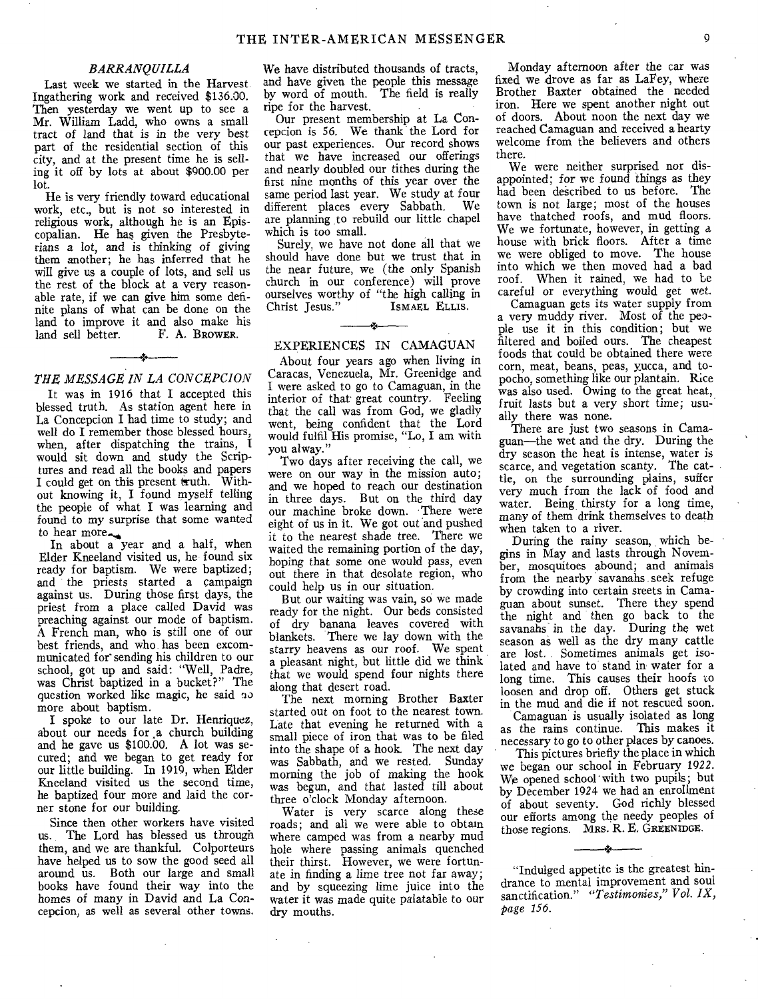#### *BARRANQUILLA*

Last week we started in the Harvest. Ingathering work and received \$136.00. Then yesterday we went up to see a Mr. William Ladd, who owns a small tract of land that is in the very best part of the residential section of this city, and at the present time he is selling it off by lots at about \$900.00 per lot.

He is very friendly toward educational work, etc., but is not so interested in religious work, although he is an Episcopalian. He has given the Presbyterians a lot, and is thinking of giving them another; he has inferred that he will give us a couple of lots, and sell us the rest of the block at a very reasonable rate, if we can give him some definite plans of what can be done on the land to improve it and also make his land sell better. F. A. BROWER.

#### ż. *THE MESSAGE IN LA CONCEPCION*

It was in 1916 that I accepted this blessed truth. As station agent here in La Concepcion I had time to study; and well do I remember those blessed hours, when, after dispatching the trains, I would sit down and study the Scriptures and read all the books and papers I could get on this present truth. Without knowing it, I found myself telling the people of what I was learning and found to my surprise that some wanted

to hear more.<br>In about a year and a half, when Elder Kneeland visited us, he found six ready for baptism. We were baptized; and the priests started a campaign against us. During those first days, the priest from a place called David was preaching against our mode of baptism. A French man, who is still one of our best friends, and who has been excommunicated for sending his children to our school, got up and said: "Well, Padre, was Christ baptized in a bucket?" The question worked like magic, he said no more about baptism.

I spoke to our late Dr. Henriquez, about our needs for a church building and he gave us \$100.00. A lot was secured; and we began to get ready for our little building. In 1919, when Elder Kneeland visited us the second time, he baptized four more and laid the corner stone for our building.

Since then other workers have visited us. The Lord has blessed us through them, and we are thankful. Colporteurs have helped us to sow the good seed all around us. Both our large and small books have found their way into the homes of many in David and La Concepcion, as well as several other towns.

We have distributed thousands of tracts, and have given the people this message by word of mouth. The field is really ripe for the harvest.

Our present membership at La Concepcion is 56. We thank the Lord for our past experiences. Our record shows that we have increased our offerings and nearly doubled our tithes during the first nine months of this year over the same period last year. We study at four different places every Sabbath. We are planning to rebuild our little chapel which is too small.

Surely, we have not done all that we should have done but we trust that in the near future, we (the only Spanish church in our conference) will prove ourselves worthy of "the high calling in Christ Jesus." ISMAEL ELLIS. ISMAEL ELLIS.

#### EXPERIENCES IN CAMAGUAN

About four years ago when living in Caracas, Venezuela, Mr. Greenidge and I were asked to go to Camaguan, in the interior of that great country. Feeling that the call was from God, we gladly went, being confident that the Lord would fulfil His promise, "Lo, I am with you alway."

Two days after receiving the call, we were on our way in the mission auto; and we hoped to reach our destination in three days. But on the third day our machine broke down. There were eight of us in it. We got out and pushed it to the nearest shade tree. There we waited the remaining portion of the day, hoping that some one would pass, even out there in that desolate region, who could help us in our situation.

But our waiting was vain, so we made ready for the night. Our beds consisted of dry banana leaves covered with blankets. There we lay down with the starry heavens as our roof. We spent a pleasant night, but little did we think that we would spend four nights there along that desert road.

The next morning Brother Baxter started out on foot to the nearest town. Late that evening he returned with a small piece of iron that was to be filed into the shape of a hook. The next day was Sabbath, and we rested. Sunday morning the job of making the hook was begun, and that lasted till about three o'clock Monday afternoon.

Water is very scarce along these roads; and all we were able to obtain where camped was from a nearby mud hole where passing animals quenched their thirst. However, we were fortunate in finding a lime tree not far away; and by squeezing lime juice into the water it was made quite palatable to our dry mouths.

Monday afternoon after the car was fixed we drove as far as LaFey, where Brother Baxter obtained the needed iron. Here we spent another night out of doors. About noon the next day we reached Camaguan and received a hearty welcome from the believers and others there.

We were neither surprised nor disappointed; for we found things as they had been described to us before. The town is not large; most of the houses have thatched roofs, and mud floors. We we fortunate, however, in getting a house with brick floors. After a time we were obliged to move. The house into which we then moved had a bad roof. When it rained, we had to be careful or everything would get wet.

Camaguan gets its water supply from a very muddy river. Most of the people use it in this condition; but we filtered and boiled ours. The cheapest foods that could be obtained there were corn, meat, beans, peas, yucca, and topocho, something like our plantain. Rice was also used. Owing to the great heat, fruit *lasts* but a very short time; usually there was none.

There are just two seasons in Camaguan—the wet and the dry. During the dry season the heat is intense, water is scarce, and vegetation scanty. The cattle, on the surrounding plains, suffer very much from the lack of food and water. Being thirsty for a long time, many of them drink themselves to death when taken to a river.

During the rainy season, which begins in May and lasts through November, mosquitoes abound; and animals from the nearby savanahs seek refuge by crowding into certain sreets in Camaguan about sunset. There they spend the night and then go back to the savanahs in the day. During the wet season as well as the dry many cattle are lost. Sometimes animals get isolated and have to stand in water for a long time. This causes their hoofs to loosen and drop off. Others get stuck in the mud and die if not rescued soon.

Camaguan is usually isolated as long as the rains continue. This makes it necessary to go to other places by canoes.

This pictures briefly the place in which we began our school in February 1922. We opened school'with two pupils; but by December 1924 we had an enrollment of about seventy. God richly blessed our efforts among the needy peoples of those regions. MRS. R. E. GREENIDGE.

"Indulged appetite is the greatest hindrance to mental improvement and soul sanctification." *"Testimonies," Vol. IX, page 156.*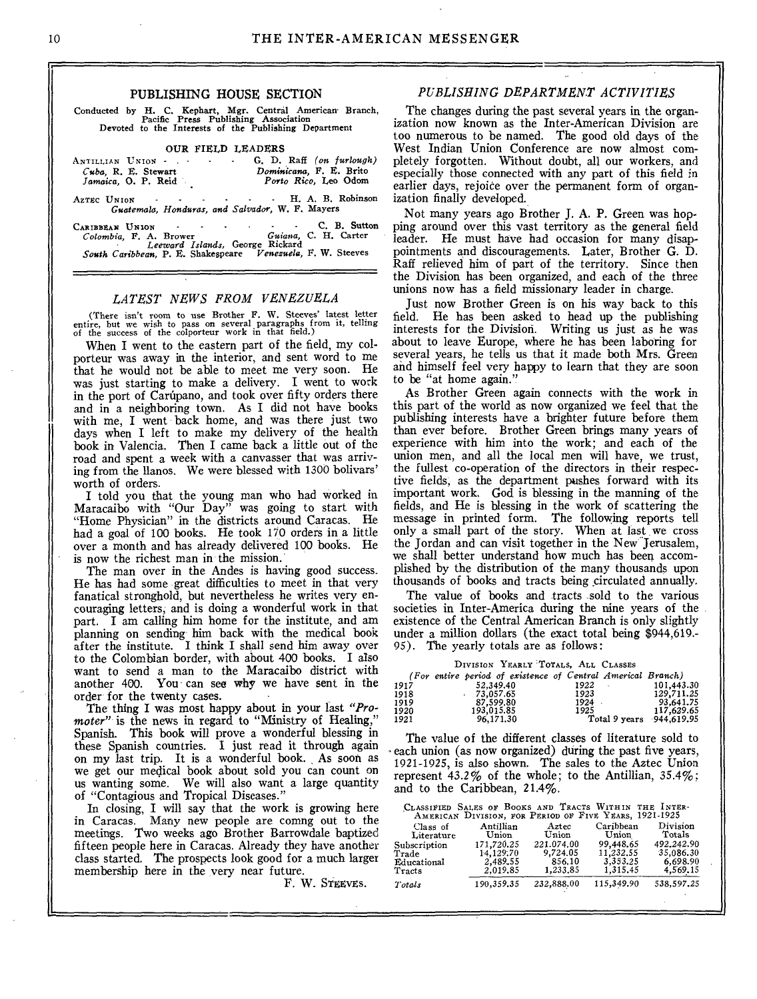#### PUBLISHING HOUSE SECTION

Conducted by H. C. Kephart, Mgr. Central American. Branch, Pacific Press Publishing Association Devoted to the Interests of the Publishing Department

#### OUR FIELD LEADERS

| ANTILLIAN UNION -                               | G. D. Raff (on furlough) |
|-------------------------------------------------|--------------------------|
| Cuba, R. E. Stewart                             | Dominicana, F. E. Brito  |
| Jamaica, O. P. Reid                             | Porto Rico, Leo Odom     |
| AzTEC UNION H. A. B. Robinson                   |                          |
| Guatemala, Honduras, and Salvador, W. F. Mayers |                          |
| CARIBBEAN UNION                                 | C. B. Sutton             |
| Colombia E A Brower                             | Cuinna C. H. Carter      |

*Colombia,* F. A. Brower *Guiana,* C. H. Carter *Leeward Islands,* George Rickard *South Caribbean,* P. E. Shakespeare *Venezuela, F.* W. Steeves

#### *LATEST NEWS FROM VENEZUELA*

(There isn't room to use Brother F. W. Steeves' latest letter entire, but we wish to pass on several paragraphs from it, telling of the success of the colporteur work in that field.)

When I went to the eastern part of the field, my colporteur was away in the interior, and sent word to me that he would not be able to meet me very soon. He was just starting to make a delivery. I went to work in the port of Carúpano, and took over fifty orders there and in a neighboring town. As I did not have books with me, I went back home, and was there just two days when I left to make my delivery of the health book in Valencia. Then I came back a little out of the road and spent a week with a canvasser that was arriving from the llanos. We were blessed with 1300 bolivars' worth of orders.

I told you that the young man who had worked in Maracaibo with "Our Day" was going to start with "Home Physician" in the districts around Caracas. He had a goal of 100 books. He took 170 orders in a little over a month and has already delivered 100 books. He is now the richest man in the mission.

The man over in the Andes is having good success. He has had some great difficulties to meet in that very fanatical stronghold, but nevertheless he writes very encouraging letters, and is doing a wonderful work in that part. I am calling him home for the institute, and am planning on sending him back with the medical book after the institute. I think I shall send him away over to the Colombian border, with about 400 books. I also want to send a man to the Maracaibo district with another 400. You can see why we have sent in the order for the twenty cases.

The thing I was most happy about in your last *"Promoter*" is the news in regard to "Ministry of Healing," Spanish. This book will prove a wonderful blessing in these Spanish countries. I just read it through again on my last trip. It is a wonderful book. As soon as we get our medical book about sold you can count on us wanting some. We will also want a large quantity of "Contagious and Tropical Diseases."

In closing, I will say that the work is growing here in Caracas. Many new people are comng out to the meetings. Two weeks ago Brother Barrowdale baptized fifteen people here in Caracas. Already they have another class started. The prospects look good for a much larger membership here in the very near future.

#### *PUBLISHING DEPARTMENT ACTIVITIES*

The changes during the past several years in the organization now known as the Inter-American Division are too numerous to be named. The good old days of the West Indian Union Conference are now almost completely forgotten. Without doubt, all our workers, and especially those connected with any part of this field in earlier days, rejoice over the permanent form of organization finally developed.

Not many years ago Brother J. A. P. Green was hopping around over this vast territory as the general field leader. He must have had occasion for many disappointments and discouragements. Later, Brother G. D. Raff relieved him of part of the territory. Since then the Division has been organized, and each of the three unions now has a field missionary leader in charge.

Just now Brother Green is on his way back to this field. He has been asked to head up the publishing interests for the Division. Writing us just as he was about to leave Europe, where he has been laboring for several years, he tells us that it made both Mrs. Green and himself feel very happy to learn that they are soon to be "at home again."

As Brother Green again connects with the work in this part of the world as now organized we feel that the publishing interests have a brighter future before them than ever before. Brother Green brings many years of experience with him into the work; and each of the union men, and all the local men will have, we trust, the fullest co-operation of the directors in their respective fields; as the department pushes forward with its important work. God is blessing in the manning of the fields, and He is blessing in the work of scattering the message in printed form. The following reports tell only a small part of the story. When at last we cross the Jordan and can visit together in the New Jerusalem, we shall better understand how much has been accomplished by the distribution of the many thousands upon thousands of books and tracts being circulated annually.

The value of books and tracts sold to the various societies in Inter-America during the nine years of the existence of the Central American Branch is only slightly under a million dollars (the exact total being \$944,619.- 95). The yearly totals are as follows:

DIVISION YEARLY TOTALS, ALL CLASSES

|      | (For entire period of existence of Central Americal Branch) |                          |            |
|------|-------------------------------------------------------------|--------------------------|------------|
| 1917 | 52.349.40                                                   | 1922<br>×.               | 101.443.30 |
| 1918 | $-73.057.65$                                                | 1923                     | 129.711.25 |
| 1919 | 87.599.80                                                   | 1924                     | 93.641.75  |
| 1920 | 193.015.85                                                  | 1925                     | 117.629.65 |
| 1921 | 96.171.30                                                   | Total 9 years 944,619.95 |            |

The value of the different classes of literature sold to each union (as now organized) during the past five years, 1921-1925, is also shown. The sales to the Aztec Union represent  $43.2\%$  of the whole; to the Antillian,  $35.4\%$ ; and to the Caribbean, 21.4%.

|              | CLASSIFIED SALES OF BOOKS AND TRACTS WITHIN THE INTER-<br>AMERICAN DIVISION, FOR PERIOD OF FIVE YEARS, 1921-1925 |            |            |            |
|--------------|------------------------------------------------------------------------------------------------------------------|------------|------------|------------|
| Class of     | Antillian                                                                                                        | Aztec      | Caribhean  | Division   |
| Literature   | Union                                                                                                            | Union      | Union      | Totals     |
| Subscription | 171.720.25                                                                                                       | 221.074.00 | 99.448.65  | 492.242.90 |
| Trade        | 14,129.70                                                                                                        | 9,724.05   | 11.232.55  | 35.086.30  |
| Educational  | 2.489.55                                                                                                         | 856.10     | 3.353.25   | 6,698.90   |
| Tracts       | 2.019.85                                                                                                         | 1,233.85   | 1,315,45   | 4,569.15   |
| Totals       | 190.359.35                                                                                                       | 232,888.00 | 115,349.90 | 538,597.25 |

F. W. STEEVES.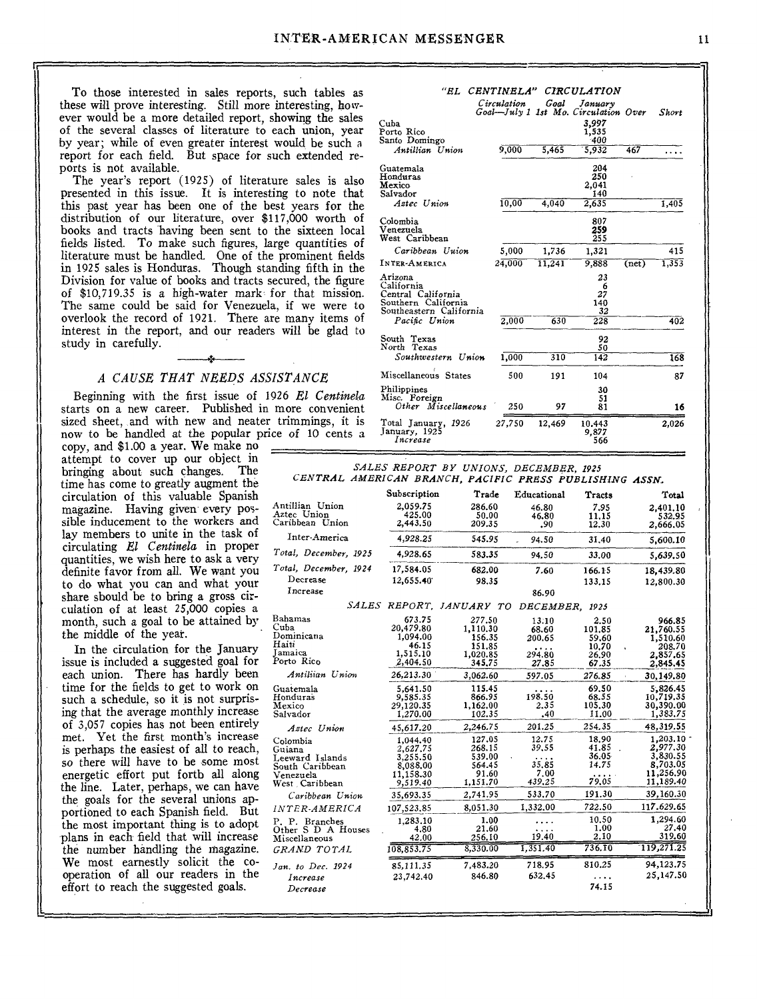To those interested in sales reports, such tables as these will prove interesting. Still more interesting, however would be a more detailed report, showing the sales of the several classes of literature to each union, year by year; while of even greater interest would be such a report for each field. But space for such extended reports is not available.

The year's report (1925) of literature sales is also presented in this issue. It is interesting to note that this past year has been one of the best years for the distribution of our literature, over \$117,000 worth of books and tracts having been sent to the sixteen local fields listed. To make such figures, large quantities of literature must be handled. One of the prominent fields in 1925 sales is Honduras. Though standing fifth in the Division for value of books and tracts secured, the figure of \$10,719.35 is a high-water mark for that mission. The same could be said for Venezuela, if we were to overlook the record of 1921. There are many items of interest in the report, and our readers will be glad to study in carefully.

#### *A CAUSE THAT NERDS ASSISTANCE*

Beginning with the first issue of 1926 *El Centinela*  starts on a new career. Published in more convenient sized sheet, and with new and neater trimmings, it is now to be handled at the popular price of 10 cents a

copy, and \$1.00 a year. We make no attempt to cover up our object in bringing about such changes. The time has come to greatly augment the circulation of this valuable Spanish magazine. Having given every possible inducement to the workers and lay members to unite in the task of circulating *El Centinela* in proper quantities, we wish here to ask a very definite favor from all. We want you to do what you can and what your share should be to bring a gross circulation of at least 25,000 copies a month, such a goal to be attained by. the middle of the year.

the number handling the magazine. We most earnestly solicit the cooperation of all our readers in the effort to reach the suggested goals. In the circulation for the January issue is included a suggested goal for each union. There has hardly been time for the fields to get to work on such a schedule, so it is not surprising that the average monthly increase of 3,057 copies has not been entirely met. Yet the first month's increase is perhaps the easiest of all to reach, so there will have to be some most energetic effort put forth all along the line. Later, perhaps, we can have the goals for the several unions apportioned to each Spanish field. But the most important thing is to adopt plans in each field that will increase

|                                                                                               | "EL CENTINELA"<br>Circulation | Goal   | <b>CIRCULATION</b><br>January<br>Goal-July 1 1st Mo. Circulation Over |       | Short |
|-----------------------------------------------------------------------------------------------|-------------------------------|--------|-----------------------------------------------------------------------|-------|-------|
| Cuba<br>Porto Rico<br>Santo Domingo                                                           |                               |        | 3,997<br>1,535<br>400                                                 |       |       |
| Antillian Union                                                                               | 9,000                         | 5,465  | 5,932                                                                 | 467   | .     |
| Guatemala<br>Honduras<br>Mexico<br>Salvador                                                   |                               |        | 204<br>250<br>2.041<br>140                                            |       |       |
| Aztec Union                                                                                   | 10,00                         | 4,040  | 2,635                                                                 |       | 1.405 |
| Colombia<br>Venezuela<br>West Caribbean                                                       |                               |        | 807<br>259<br>255                                                     |       |       |
| Caribbean Uuion                                                                               | 5,000                         | 1.736  | 1.321                                                                 |       | 415   |
| INTER-AMERICA                                                                                 | 24,000                        | 11.241 | 9,888                                                                 | (net) | 1,353 |
| Arizona<br>California<br>Central California<br>Southern California<br>Southeastern California |                               |        | 23<br>6<br>27<br>140<br>32                                            |       |       |
| Pacific Union                                                                                 | 2.000                         | 630    | 228                                                                   |       | 402   |
| South Texas<br>North Texas                                                                    |                               |        | 92<br>50                                                              |       |       |
| Southwestern Union                                                                            | 1.000                         | 310    | 142                                                                   |       | 168   |
| Miscellaneous States                                                                          | 500                           | 191    | 104                                                                   |       | 87    |
| Philippines<br>Misc. Foreign<br>Other Miscellaneous                                           | 250                           | 97     | 30<br>51<br>81                                                        |       | 16    |
| Total January, 1926<br>January, 1925<br>Increase                                              | 27,750                        | 12,469 | 10.443<br>9,877<br>566                                                |       | 2.026 |

### *SALES REPORT BY UNIONS, DECEMBER, 1925*

| CENTRAL AMERICAN BRANCH, PACIFIC PRESS PUBLISHING ASSN. |              |                          |             |                |            |
|---------------------------------------------------------|--------------|--------------------------|-------------|----------------|------------|
|                                                         | Subscription | Trade                    | Educational | Tracts         | Total      |
| Antillian Union                                         | 2,059.75     | 286.60                   | 46.80       | 7.95           | 2.401.10   |
| Aztec Union                                             | 425.00       | 50.00                    | 46.80       | 11.15          | 532.95     |
| Caribbean Union                                         | 2,443.50     | 209.35                   | .90         | 12,30          | 2,666,05   |
| Inter-America                                           | 4.928.25     | 545.95                   | 94.50       | 31,40          | 5,600.10   |
| Total, December, 1925                                   | 4.928.65     | 583.35                   | 94.50       | 33.00          | 5,639,50   |
| Total, December, 1924                                   | 17,584.05    | 682.00                   | 7.60        | 166.15         | 18,439.80  |
| Decrease                                                | 12,655.40    | 98.35                    |             | 133.15         | 12,800.30  |
| Increase                                                |              |                          | 86.90       |                |            |
|                                                         |              | SALES REPORT. JANUARY TO |             | DECEMBER, 1925 |            |
| Bahamas                                                 | 673.75       | 277.50                   | 13.10       | 2.50           | 966.85     |
| Cuba                                                    | 20,479.80    | 1,110.30                 | 68.60       | 101.85         | 21,760.55  |
| Dominicana                                              | 1,094.00     | 156.35                   | 200.65      | 59,60          | 1,510.60   |
| Haiti                                                   | 46.15        | 151.85                   | $\cdots$    | 10.70          | 208.70     |
| Jamaica                                                 | 1,515.10     | 1,020.85                 | 294.80      | 26,90          | 2,857,65   |
| Porto Rico                                              | 2,404.50     | 345,75                   | 27.85       | 67.35          | 2,845.45   |
| Antiliian Union                                         | 26,213.30    | 3,062.60                 | 597.05      | 276.85         | 30,149.80  |
| Guatemala                                               | 5,641.50     | 115.45                   | .           | 69.50          | 5,826.45   |
| Honduras                                                | 9,585.35     | 866.95                   | 198.50      | 68.55          | 10,719.35  |
| Mexico                                                  | 29,120,35    | 1,162.00                 | 2.35        | 105.30         | 30,390.00  |
| Salvador                                                | 1,270.00     | 102.35                   | .40         | 11.00          | 1,383.75   |
| Aztec Union                                             | 45,617.20    | 2,246.75                 | 201.25      | 254.35         | 48,319.55  |
| Colombia                                                | 1,044.40     | 127.05                   | 12.75       | 18.90          | 1,203.10   |
| Guiana                                                  | 2,627,75     | 268.15                   | 39,55       | 41.85          | 2.977.30   |
| Leeward Islands                                         | 3.255.50     | 539.00                   | $\cdots$    | 36.05          | 3,830.55   |
| South Caribbean                                         | 8,088.00     | 564.45                   | 35.85       | 14.75          | 8,703.05   |
| Venezuela                                               | 11,158.30    | 91.60                    | 7.00        | $\cdots$       | 11,256.90  |
| West Caribbean                                          | 9,519.40     | 1,151.70                 | 439.25      | 79,05          | 11,189.40  |
| Caribbean Union                                         | 35,693.35    | 2,741.95                 | 533.70      | 191.30         | 39,160.30  |
| <i><b>INTER-AMERICA</b></i>                             | 107,523,85   | 8,051.30                 | 1,332,00    | 722.50         | 117.629.65 |
| P. P. Branches                                          | 1,283.10     | 1.00                     | .           | 10.50          | 1,294.60   |
| Other S D A Houses                                      | 4.80         | 21.60                    | .           | 1.00           | 27.40      |
| Miscellaneous                                           | 42.00        | 256.10                   | 19.40       | 2.10           | 319.60     |
| GRAND TOTAL                                             | 108,853.75   | 8,330.00                 | 1.351.40    | 736.10         | 119,271.25 |
| Jan. to Dec. 1924                                       | 85.111.35    | 7,483.20                 | 718.95      | 810.25         | 94,123.75  |
| Increase                                                | 23,742.40    | 846.80                   | 632,45      | $\cdots$       | 25,147.50  |
| Decrease                                                |              |                          |             | 74.15          |            |
|                                                         |              |                          |             |                |            |